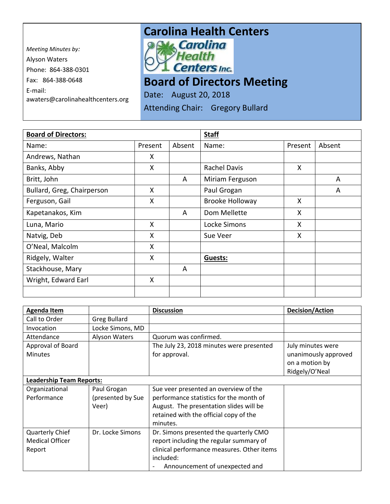*Meeting Minutes by:*  Alyson Waters Phone: 864-388-0301 Fax: 864-388-0648 E-mail: awaters@carolinahealthcenters.org

## **Carolina Health Centers**<br>*PAL Carolina*



**Board of Directors Meeting** 

Date: August 20, 2018

Attending Chair: Gregory Bullard

| <b>Board of Directors:</b> |         |        | <b>Staff</b>           |         |        |
|----------------------------|---------|--------|------------------------|---------|--------|
| Name:                      | Present | Absent | Name:                  | Present | Absent |
| Andrews, Nathan            | X       |        |                        |         |        |
| Banks, Abby                | X       |        | <b>Rachel Davis</b>    | X       |        |
| Britt, John                |         | A      | Miriam Ferguson        |         | A      |
| Bullard, Greg, Chairperson | X       |        | Paul Grogan            |         | A      |
| Ferguson, Gail             | X       |        | <b>Brooke Holloway</b> | X       |        |
| Kapetanakos, Kim           |         | A      | Dom Mellette           | X       |        |
| Luna, Mario                | X       |        | Locke Simons           | X       |        |
| Natvig, Deb                | X       |        | Sue Veer               | X       |        |
| O'Neal, Malcolm            | X       |        |                        |         |        |
| Ridgely, Walter            | X       |        | <b>Guests:</b>         |         |        |
| Stackhouse, Mary           |         | A      |                        |         |        |
| Wright, Edward Earl        | X       |        |                        |         |        |
|                            |         |        |                        |         |        |

| <b>Agenda Item</b>              |                     | <b>Discussion</b>                          | <b>Decision/Action</b> |
|---------------------------------|---------------------|--------------------------------------------|------------------------|
| Call to Order                   | <b>Greg Bullard</b> |                                            |                        |
| Invocation                      | Locke Simons, MD    |                                            |                        |
| Attendance                      | Alyson Waters       | Quorum was confirmed.                      |                        |
| Approval of Board               |                     | The July 23, 2018 minutes were presented   | July minutes were      |
| <b>Minutes</b>                  |                     | for approval.                              | unanimously approved   |
|                                 |                     |                                            | on a motion by         |
|                                 |                     |                                            | Ridgely/O'Neal         |
| <b>Leadership Team Reports:</b> |                     |                                            |                        |
| Organizational                  | Paul Grogan         | Sue veer presented an overview of the      |                        |
| Performance                     | (presented by Sue   | performance statistics for the month of    |                        |
|                                 | Veer)               | August. The presentation slides will be    |                        |
|                                 |                     | retained with the official copy of the     |                        |
|                                 |                     | minutes.                                   |                        |
| Quarterly Chief                 | Dr. Locke Simons    | Dr. Simons presented the quarterly CMO     |                        |
| <b>Medical Officer</b>          |                     | report including the regular summary of    |                        |
| Report                          |                     | clinical performance measures. Other items |                        |
|                                 |                     | included:                                  |                        |
|                                 |                     | Announcement of unexpected and             |                        |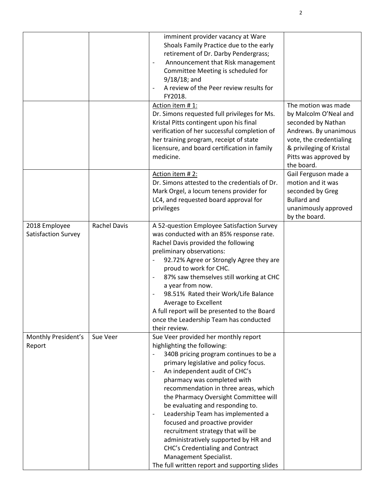|                                      |                     | imminent provider vacancy at Ware<br>Shoals Family Practice due to the early<br>retirement of Dr. Darby Pendergrass;<br>Announcement that Risk management<br>$\qquad \qquad -$<br>Committee Meeting is scheduled for<br>$9/18/18$ ; and<br>A review of the Peer review results for<br>FY2018.<br>Action item #1:<br>Dr. Simons requested full privileges for Ms.<br>Kristal Pitts contingent upon his final<br>verification of her successful completion of<br>her training program, receipt of state<br>licensure, and board certification in family<br>medicine.                                                                         | The motion was made<br>by Malcolm O'Neal and<br>seconded by Nathan<br>Andrews. By unanimous<br>vote, the credentialing<br>& privileging of Kristal<br>Pitts was approved by<br>the board. |
|--------------------------------------|---------------------|--------------------------------------------------------------------------------------------------------------------------------------------------------------------------------------------------------------------------------------------------------------------------------------------------------------------------------------------------------------------------------------------------------------------------------------------------------------------------------------------------------------------------------------------------------------------------------------------------------------------------------------------|-------------------------------------------------------------------------------------------------------------------------------------------------------------------------------------------|
|                                      |                     | Action item #2:<br>Dr. Simons attested to the credentials of Dr.<br>Mark Orgel, a locum tenens provider for<br>LC4, and requested board approval for<br>privileges                                                                                                                                                                                                                                                                                                                                                                                                                                                                         | Gail Ferguson made a<br>motion and it was<br>seconded by Greg<br><b>Bullard and</b><br>unanimously approved<br>by the board.                                                              |
| 2018 Employee<br>Satisfaction Survey | <b>Rachel Davis</b> | A 52-question Employee Satisfaction Survey<br>was conducted with an 85% response rate.<br>Rachel Davis provided the following<br>preliminary observations:<br>92.72% Agree or Strongly Agree they are<br>proud to work for CHC.<br>87% saw themselves still working at CHC<br>a year from now.<br>98.51% Rated their Work/Life Balance<br>Average to Excellent<br>A full report will be presented to the Board<br>once the Leadership Team has conducted<br>their review.                                                                                                                                                                  |                                                                                                                                                                                           |
| Monthly President's<br>Report        | Sue Veer            | Sue Veer provided her monthly report<br>highlighting the following:<br>340B pricing program continues to be a<br>primary legislative and policy focus.<br>An independent audit of CHC's<br>$\overline{\phantom{a}}$<br>pharmacy was completed with<br>recommendation in three areas, which<br>the Pharmacy Oversight Committee will<br>be evaluating and responding to.<br>Leadership Team has implemented a<br>focused and proactive provider<br>recruitment strategy that will be<br>administratively supported by HR and<br>CHC's Credentialing and Contract<br>Management Specialist.<br>The full written report and supporting slides |                                                                                                                                                                                           |

2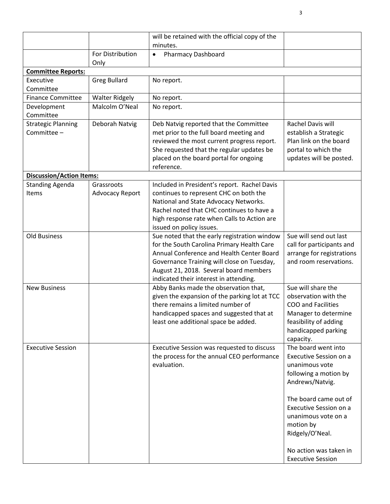|                                          |                          | will be retained with the official copy of the                                        |                                                 |
|------------------------------------------|--------------------------|---------------------------------------------------------------------------------------|-------------------------------------------------|
|                                          |                          | minutes.                                                                              |                                                 |
|                                          | For Distribution<br>Only | <b>Pharmacy Dashboard</b><br>$\bullet$                                                |                                                 |
| <b>Committee Reports:</b>                |                          |                                                                                       |                                                 |
| Executive                                | <b>Greg Bullard</b>      | No report.                                                                            |                                                 |
| Committee                                |                          |                                                                                       |                                                 |
| <b>Finance Committee</b>                 | <b>Walter Ridgely</b>    | No report.                                                                            |                                                 |
| Development                              | Malcolm O'Neal           | No report.                                                                            |                                                 |
| Committee                                |                          |                                                                                       |                                                 |
| <b>Strategic Planning</b><br>Committee - | Deborah Natvig           | Deb Natvig reported that the Committee                                                | Rachel Davis will                               |
|                                          |                          | met prior to the full board meeting and<br>reviewed the most current progress report. | establish a Strategic<br>Plan link on the board |
|                                          |                          | She requested that the regular updates be                                             | portal to which the                             |
|                                          |                          | placed on the board portal for ongoing                                                | updates will be posted.                         |
|                                          |                          | reference.                                                                            |                                                 |
| <b>Discussion/Action Items:</b>          |                          |                                                                                       |                                                 |
| <b>Standing Agenda</b>                   | Grassroots               | Included in President's report. Rachel Davis                                          |                                                 |
| Items                                    | <b>Advocacy Report</b>   | continues to represent CHC on both the                                                |                                                 |
|                                          |                          | National and State Advocacy Networks.                                                 |                                                 |
|                                          |                          | Rachel noted that CHC continues to have a                                             |                                                 |
|                                          |                          | high response rate when Calls to Action are                                           |                                                 |
|                                          |                          | issued on policy issues.                                                              |                                                 |
| <b>Old Business</b>                      |                          | Sue noted that the early registration window                                          | Sue will send out last                          |
|                                          |                          | for the South Carolina Primary Health Care                                            | call for participants and                       |
|                                          |                          | Annual Conference and Health Center Board                                             | arrange for registrations                       |
|                                          |                          | Governance Training will close on Tuesday,                                            | and room reservations.                          |
|                                          |                          | August 21, 2018. Several board members<br>indicated their interest in attending.      |                                                 |
| <b>New Business</b>                      |                          | Abby Banks made the observation that,                                                 | Sue will share the                              |
|                                          |                          | given the expansion of the parking lot at TCC                                         | observation with the                            |
|                                          |                          | there remains a limited number of                                                     | COO and Facilities                              |
|                                          |                          | handicapped spaces and suggested that at                                              | Manager to determine                            |
|                                          |                          | least one additional space be added.                                                  | feasibility of adding                           |
|                                          |                          |                                                                                       | handicapped parking                             |
|                                          |                          |                                                                                       | capacity.                                       |
| <b>Executive Session</b>                 |                          | Executive Session was requested to discuss                                            | The board went into                             |
|                                          |                          | the process for the annual CEO performance                                            | Executive Session on a                          |
|                                          |                          | evaluation.                                                                           | unanimous vote                                  |
|                                          |                          |                                                                                       | following a motion by                           |
|                                          |                          |                                                                                       | Andrews/Natvig.                                 |
|                                          |                          |                                                                                       |                                                 |
|                                          |                          |                                                                                       | The board came out of                           |
|                                          |                          |                                                                                       | Executive Session on a<br>unanimous vote on a   |
|                                          |                          |                                                                                       | motion by                                       |
|                                          |                          |                                                                                       | Ridgely/O'Neal.                                 |
|                                          |                          |                                                                                       |                                                 |
|                                          |                          |                                                                                       | No action was taken in                          |
|                                          |                          |                                                                                       | <b>Executive Session</b>                        |